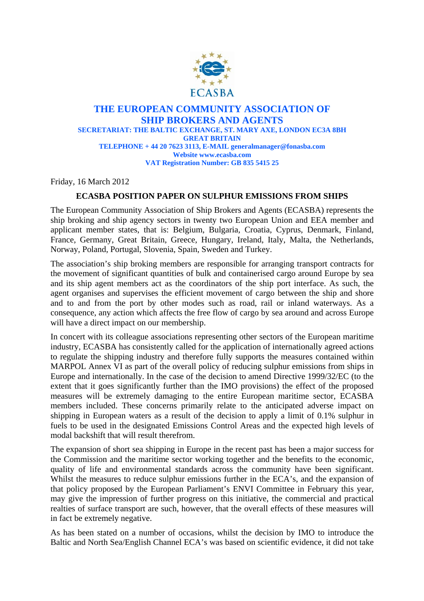

## **THE EUROPEAN COMMUNITY ASSOCIATION OF SHIP BROKERS AND AGENTS SECRETARIAT: THE BALTIC EXCHANGE, ST. MARY AXE, LONDON EC3A 8BH GREAT BRITAIN TELEPHONE + 44 20 7623 3113, E-MAIL generalmanager@fonasba.com Website www.ecasba.com VAT Registration Number: GB 835 5415 25**

Friday, 16 March 2012

## **ECASBA POSITION PAPER ON SULPHUR EMISSIONS FROM SHIPS**

The European Community Association of Ship Brokers and Agents (ECASBA) represents the ship broking and ship agency sectors in twenty two European Union and EEA member and applicant member states, that is: Belgium, Bulgaria, Croatia, Cyprus, Denmark, Finland, France, Germany, Great Britain, Greece, Hungary, Ireland, Italy, Malta, the Netherlands, Norway, Poland, Portugal, Slovenia, Spain, Sweden and Turkey.

The association's ship broking members are responsible for arranging transport contracts for the movement of significant quantities of bulk and containerised cargo around Europe by sea and its ship agent members act as the coordinators of the ship port interface. As such, the agent organises and supervises the efficient movement of cargo between the ship and shore and to and from the port by other modes such as road, rail or inland waterways. As a consequence, any action which affects the free flow of cargo by sea around and across Europe will have a direct impact on our membership.

In concert with its colleague associations representing other sectors of the European maritime industry, ECASBA has consistently called for the application of internationally agreed actions to regulate the shipping industry and therefore fully supports the measures contained within MARPOL Annex VI as part of the overall policy of reducing sulphur emissions from ships in Europe and internationally. In the case of the decision to amend Directive 1999/32/EC (to the extent that it goes significantly further than the IMO provisions) the effect of the proposed measures will be extremely damaging to the entire European maritime sector, ECASBA members included. These concerns primarily relate to the anticipated adverse impact on shipping in European waters as a result of the decision to apply a limit of 0.1% sulphur in fuels to be used in the designated Emissions Control Areas and the expected high levels of modal backshift that will result therefrom.

The expansion of short sea shipping in Europe in the recent past has been a major success for the Commission and the maritime sector working together and the benefits to the economic, quality of life and environmental standards across the community have been significant. Whilst the measures to reduce sulphur emissions further in the ECA's, and the expansion of that policy proposed by the European Parliament's ENVI Committee in February this year, may give the impression of further progress on this initiative, the commercial and practical realties of surface transport are such, however, that the overall effects of these measures will in fact be extremely negative.

As has been stated on a number of occasions, whilst the decision by IMO to introduce the Baltic and North Sea/English Channel ECA's was based on scientific evidence, it did not take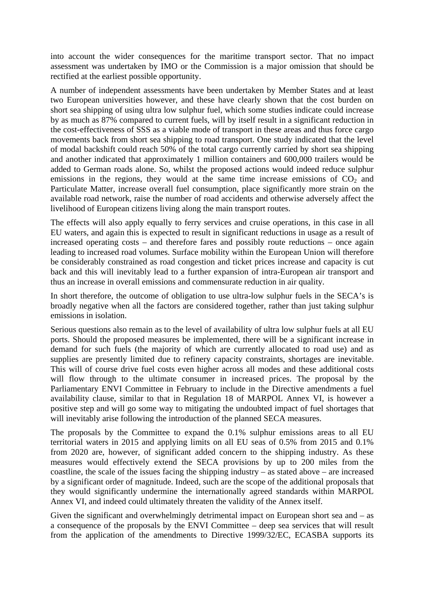into account the wider consequences for the maritime transport sector. That no impact assessment was undertaken by IMO or the Commission is a major omission that should be rectified at the earliest possible opportunity.

A number of independent assessments have been undertaken by Member States and at least two European universities however, and these have clearly shown that the cost burden on short sea shipping of using ultra low sulphur fuel, which some studies indicate could increase by as much as 87% compared to current fuels, will by itself result in a significant reduction in the cost-effectiveness of SSS as a viable mode of transport in these areas and thus force cargo movements back from short sea shipping to road transport. One study indicated that the level of modal backshift could reach 50% of the total cargo currently carried by short sea shipping and another indicated that approximately 1 million containers and 600,000 trailers would be added to German roads alone. So, whilst the proposed actions would indeed reduce sulphur emissions in the regions, they would at the same time increase emissions of  $CO<sub>2</sub>$  and Particulate Matter, increase overall fuel consumption, place significantly more strain on the available road network, raise the number of road accidents and otherwise adversely affect the livelihood of European citizens living along the main transport routes.

The effects will also apply equally to ferry services and cruise operations, in this case in all EU waters, and again this is expected to result in significant reductions in usage as a result of increased operating costs – and therefore fares and possibly route reductions – once again leading to increased road volumes. Surface mobility within the European Union will therefore be considerably constrained as road congestion and ticket prices increase and capacity is cut back and this will inevitably lead to a further expansion of intra-European air transport and thus an increase in overall emissions and commensurate reduction in air quality.

In short therefore, the outcome of obligation to use ultra-low sulphur fuels in the SECA's is broadly negative when all the factors are considered together, rather than just taking sulphur emissions in isolation.

Serious questions also remain as to the level of availability of ultra low sulphur fuels at all EU ports. Should the proposed measures be implemented, there will be a significant increase in demand for such fuels (the majority of which are currently allocated to road use) and as supplies are presently limited due to refinery capacity constraints, shortages are inevitable. This will of course drive fuel costs even higher across all modes and these additional costs will flow through to the ultimate consumer in increased prices. The proposal by the Parliamentary ENVI Committee in February to include in the Directive amendments a fuel availability clause, similar to that in Regulation 18 of MARPOL Annex VI, is however a positive step and will go some way to mitigating the undoubted impact of fuel shortages that will inevitably arise following the introduction of the planned SECA measures.

The proposals by the Committee to expand the 0.1% sulphur emissions areas to all EU territorial waters in 2015 and applying limits on all EU seas of 0.5% from 2015 and 0.1% from 2020 are, however, of significant added concern to the shipping industry. As these measures would effectively extend the SECA provisions by up to 200 miles from the coastline, the scale of the issues facing the shipping industry – as stated above – are increased by a significant order of magnitude. Indeed, such are the scope of the additional proposals that they would significantly undermine the internationally agreed standards within MARPOL Annex VI, and indeed could ultimately threaten the validity of the Annex itself.

Given the significant and overwhelmingly detrimental impact on European short sea and – as a consequence of the proposals by the ENVI Committee – deep sea services that will result from the application of the amendments to Directive 1999/32/EC, ECASBA supports its